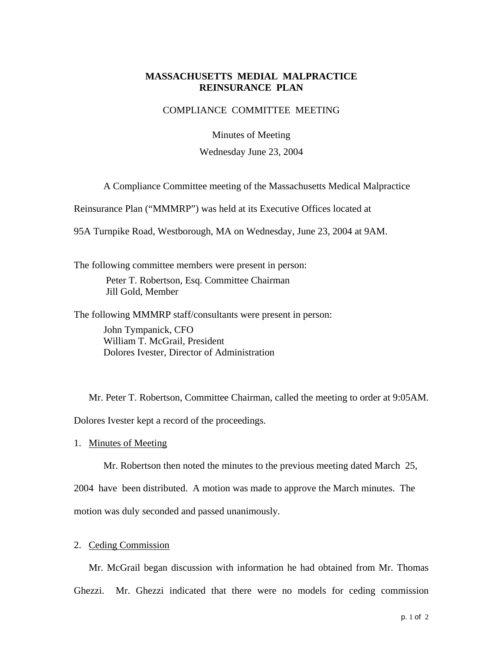## **MASSACHUSETTS MEDIAL MALPRACTICE REINSURANCE PLAN**

## COMPLIANCE COMMITTEE MEETING

Minutes of Meeting

Wednesday June 23, 2004

A Compliance Committee meeting of the Massachusetts Medical Malpractice

Reinsurance Plan ("MMMRP") was held at its Executive Offices located at

95A Turnpike Road, Westborough, MA on Wednesday, June 23, 2004 at 9AM.

The following committee members were present in person: Peter T. Robertson, Esq. Committee Chairman Jill Gold, Member

The following MMMRP staff/consultants were present in person: John Tympanick, CFO William T. McGrail, President

Dolores Ivester, Director of Administration

Mr. Peter T. Robertson, Committee Chairman, called the meeting to order at 9:05AM. Dolores Ivester kept a record of the proceedings.

1. Minutes of Meeting

Mr. Robertson then noted the minutes to the previous meeting dated March 25,

2004 have been distributed. A motion was made to approve the March minutes. The motion was duly seconded and passed unanimously.

## 2. Ceding Commission

Mr. McGrail began discussion with information he had obtained from Mr. Thomas Ghezzi. Mr. Ghezzi indicated that there were no models for ceding commission